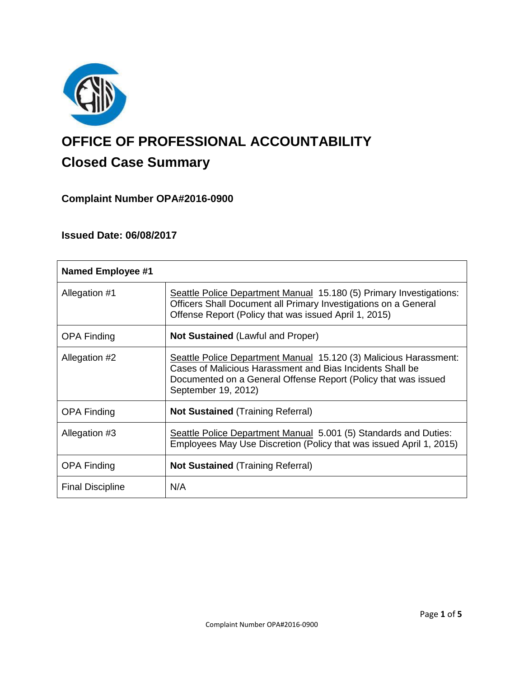

# **OFFICE OF PROFESSIONAL ACCOUNTABILITY Closed Case Summary**

# **Complaint Number OPA#2016-0900**

## **Issued Date: 06/08/2017**

| <b>Named Employee #1</b> |                                                                                                                                                                                                                         |
|--------------------------|-------------------------------------------------------------------------------------------------------------------------------------------------------------------------------------------------------------------------|
| Allegation #1            | Seattle Police Department Manual 15.180 (5) Primary Investigations:<br>Officers Shall Document all Primary Investigations on a General<br>Offense Report (Policy that was issued April 1, 2015)                         |
| <b>OPA Finding</b>       | <b>Not Sustained (Lawful and Proper)</b>                                                                                                                                                                                |
| Allegation #2            | Seattle Police Department Manual 15.120 (3) Malicious Harassment:<br>Cases of Malicious Harassment and Bias Incidents Shall be<br>Documented on a General Offense Report (Policy that was issued<br>September 19, 2012) |
| <b>OPA Finding</b>       | <b>Not Sustained (Training Referral)</b>                                                                                                                                                                                |
| Allegation #3            | Seattle Police Department Manual 5.001 (5) Standards and Duties:<br>Employees May Use Discretion (Policy that was issued April 1, 2015)                                                                                 |
| <b>OPA Finding</b>       | <b>Not Sustained (Training Referral)</b>                                                                                                                                                                                |
| <b>Final Discipline</b>  | N/A                                                                                                                                                                                                                     |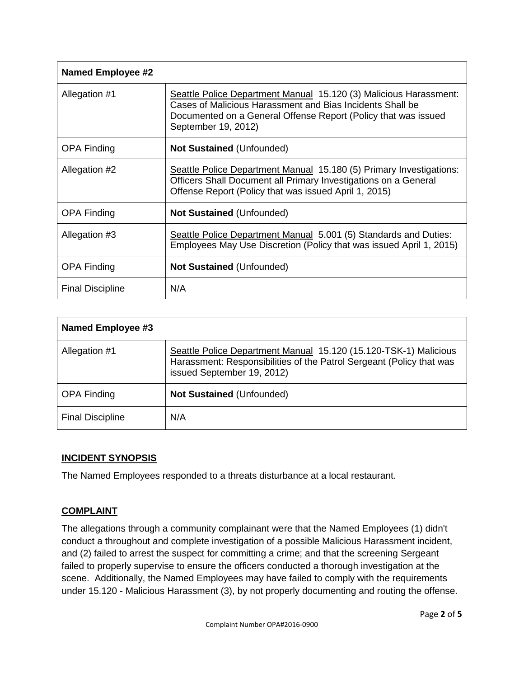| Named Employee #2       |                                                                                                                                                                                                                         |
|-------------------------|-------------------------------------------------------------------------------------------------------------------------------------------------------------------------------------------------------------------------|
| Allegation #1           | Seattle Police Department Manual 15.120 (3) Malicious Harassment:<br>Cases of Malicious Harassment and Bias Incidents Shall be<br>Documented on a General Offense Report (Policy that was issued<br>September 19, 2012) |
| <b>OPA Finding</b>      | <b>Not Sustained (Unfounded)</b>                                                                                                                                                                                        |
| Allegation #2           | Seattle Police Department Manual 15.180 (5) Primary Investigations:<br>Officers Shall Document all Primary Investigations on a General<br>Offense Report (Policy that was issued April 1, 2015)                         |
| <b>OPA Finding</b>      | Not Sustained (Unfounded)                                                                                                                                                                                               |
| Allegation #3           | Seattle Police Department Manual 5.001 (5) Standards and Duties:<br>Employees May Use Discretion (Policy that was issued April 1, 2015)                                                                                 |
| <b>OPA Finding</b>      | <b>Not Sustained (Unfounded)</b>                                                                                                                                                                                        |
| <b>Final Discipline</b> | N/A                                                                                                                                                                                                                     |

| <b>Named Employee #3</b> |                                                                                                                                                                        |
|--------------------------|------------------------------------------------------------------------------------------------------------------------------------------------------------------------|
| Allegation #1            | Seattle Police Department Manual 15.120 (15.120-TSK-1) Malicious<br>Harassment: Responsibilities of the Patrol Sergeant (Policy that was<br>issued September 19, 2012) |
| <b>OPA Finding</b>       | <b>Not Sustained (Unfounded)</b>                                                                                                                                       |
| <b>Final Discipline</b>  | N/A                                                                                                                                                                    |

## **INCIDENT SYNOPSIS**

The Named Employees responded to a threats disturbance at a local restaurant.

## **COMPLAINT**

The allegations through a community complainant were that the Named Employees (1) didn't conduct a throughout and complete investigation of a possible Malicious Harassment incident, and (2) failed to arrest the suspect for committing a crime; and that the screening Sergeant failed to properly supervise to ensure the officers conducted a thorough investigation at the scene. Additionally, the Named Employees may have failed to comply with the requirements under 15.120 - Malicious Harassment (3), by not properly documenting and routing the offense.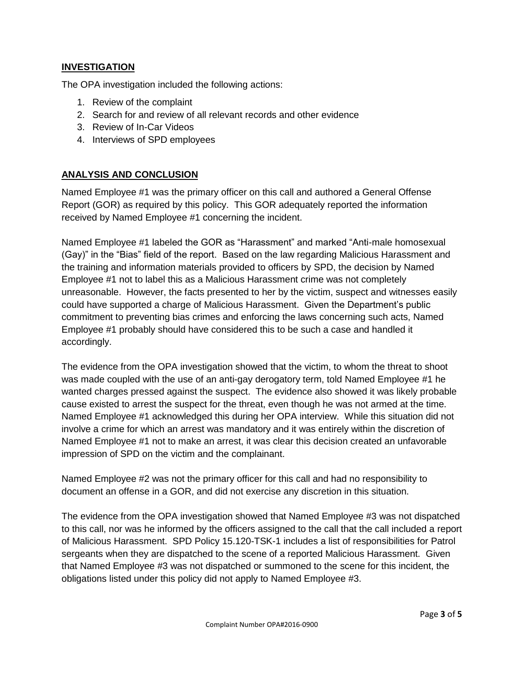## **INVESTIGATION**

The OPA investigation included the following actions:

- 1. Review of the complaint
- 2. Search for and review of all relevant records and other evidence
- 3. Review of In-Car Videos
- 4. Interviews of SPD employees

## **ANALYSIS AND CONCLUSION**

Named Employee #1 was the primary officer on this call and authored a General Offense Report (GOR) as required by this policy. This GOR adequately reported the information received by Named Employee #1 concerning the incident.

Named Employee #1 labeled the GOR as "Harassment" and marked "Anti-male homosexual (Gay)" in the "Bias" field of the report. Based on the law regarding Malicious Harassment and the training and information materials provided to officers by SPD, the decision by Named Employee #1 not to label this as a Malicious Harassment crime was not completely unreasonable. However, the facts presented to her by the victim, suspect and witnesses easily could have supported a charge of Malicious Harassment. Given the Department's public commitment to preventing bias crimes and enforcing the laws concerning such acts, Named Employee #1 probably should have considered this to be such a case and handled it accordingly.

The evidence from the OPA investigation showed that the victim, to whom the threat to shoot was made coupled with the use of an anti-gay derogatory term, told Named Employee #1 he wanted charges pressed against the suspect. The evidence also showed it was likely probable cause existed to arrest the suspect for the threat, even though he was not armed at the time. Named Employee #1 acknowledged this during her OPA interview. While this situation did not involve a crime for which an arrest was mandatory and it was entirely within the discretion of Named Employee #1 not to make an arrest, it was clear this decision created an unfavorable impression of SPD on the victim and the complainant.

Named Employee #2 was not the primary officer for this call and had no responsibility to document an offense in a GOR, and did not exercise any discretion in this situation.

The evidence from the OPA investigation showed that Named Employee #3 was not dispatched to this call, nor was he informed by the officers assigned to the call that the call included a report of Malicious Harassment. SPD Policy 15.120-TSK-1 includes a list of responsibilities for Patrol sergeants when they are dispatched to the scene of a reported Malicious Harassment. Given that Named Employee #3 was not dispatched or summoned to the scene for this incident, the obligations listed under this policy did not apply to Named Employee #3.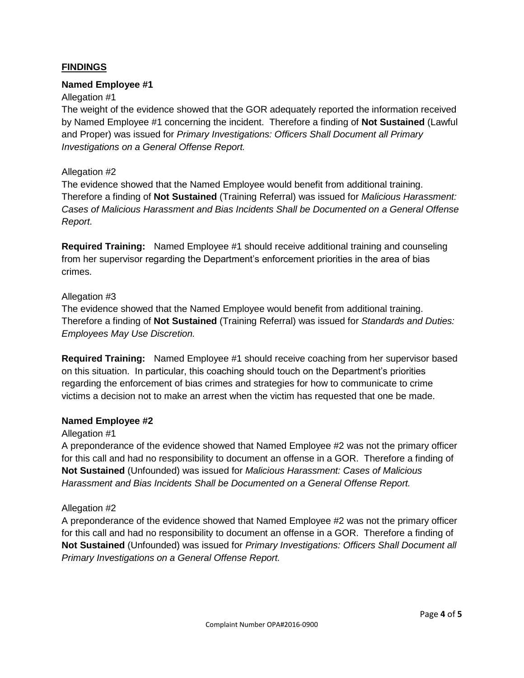## **FINDINGS**

#### **Named Employee #1**

#### Allegation #1

The weight of the evidence showed that the GOR adequately reported the information received by Named Employee #1 concerning the incident. Therefore a finding of **Not Sustained** (Lawful and Proper) was issued for *Primary Investigations: Officers Shall Document all Primary Investigations on a General Offense Report.*

#### Allegation #2

The evidence showed that the Named Employee would benefit from additional training. Therefore a finding of **Not Sustained** (Training Referral) was issued for *Malicious Harassment: Cases of Malicious Harassment and Bias Incidents Shall be Documented on a General Offense Report.*

**Required Training:** Named Employee #1 should receive additional training and counseling from her supervisor regarding the Department's enforcement priorities in the area of bias crimes.

#### Allegation #3

The evidence showed that the Named Employee would benefit from additional training. Therefore a finding of **Not Sustained** (Training Referral) was issued for *Standards and Duties: Employees May Use Discretion.*

**Required Training:** Named Employee #1 should receive coaching from her supervisor based on this situation. In particular, this coaching should touch on the Department's priorities regarding the enforcement of bias crimes and strategies for how to communicate to crime victims a decision not to make an arrest when the victim has requested that one be made.

#### **Named Employee #2**

#### Allegation #1

A preponderance of the evidence showed that Named Employee #2 was not the primary officer for this call and had no responsibility to document an offense in a GOR. Therefore a finding of **Not Sustained** (Unfounded) was issued for *Malicious Harassment: Cases of Malicious Harassment and Bias Incidents Shall be Documented on a General Offense Report.*

#### Allegation #2

A preponderance of the evidence showed that Named Employee #2 was not the primary officer for this call and had no responsibility to document an offense in a GOR. Therefore a finding of **Not Sustained** (Unfounded) was issued for *Primary Investigations: Officers Shall Document all Primary Investigations on a General Offense Report.*